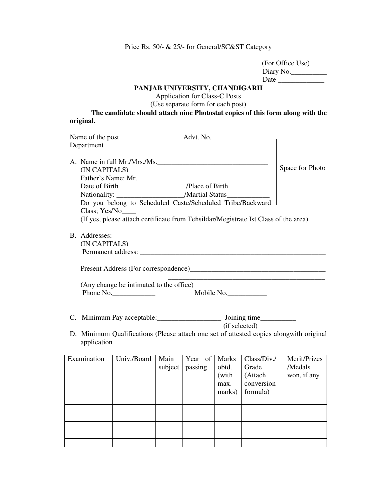Price Rs. 50/- & 25/- for General/SC&ST Category

| (For Office Use) |
|------------------|
| Diary No.        |
| Date             |

## **PANJAB UNIVERSITY, CHANDIGARH**

Application for Class-C Posts

(Use separate form for each post)

## **The candidate should attach nine Photostat copies of this form along with the original.**

|               | A. Name in full Mr./Mrs./Ms.                                                        |         |         |              |                                                      |                                                                                        |  |  |
|---------------|-------------------------------------------------------------------------------------|---------|---------|--------------|------------------------------------------------------|----------------------------------------------------------------------------------------|--|--|
| (IN CAPITALS) |                                                                                     |         |         |              |                                                      | Space for Photo                                                                        |  |  |
|               |                                                                                     |         |         |              |                                                      |                                                                                        |  |  |
|               |                                                                                     |         |         |              |                                                      |                                                                                        |  |  |
|               | Nationality: __________________________/Martial Status__________________________    |         |         |              |                                                      |                                                                                        |  |  |
|               | Do you belong to Scheduled Caste/Scheduled Tribe/Backward                           |         |         |              |                                                      |                                                                                        |  |  |
| Class; Yes/No |                                                                                     |         |         |              |                                                      |                                                                                        |  |  |
|               | (If yes, please attach certificate from Tehsildar/Megistrate Ist Class of the area) |         |         |              |                                                      |                                                                                        |  |  |
|               |                                                                                     |         |         |              |                                                      |                                                                                        |  |  |
| B. Addresses: |                                                                                     |         |         |              |                                                      |                                                                                        |  |  |
| (IN CAPITALS) |                                                                                     |         |         |              |                                                      |                                                                                        |  |  |
|               |                                                                                     |         |         |              |                                                      |                                                                                        |  |  |
|               |                                                                                     |         |         |              | <u> 1980 - Johann Barn, fransk politik (f. 1980)</u> |                                                                                        |  |  |
|               |                                                                                     |         |         |              |                                                      |                                                                                        |  |  |
|               |                                                                                     |         |         |              |                                                      |                                                                                        |  |  |
|               | (Any change be intimated to the office)                                             |         |         |              |                                                      |                                                                                        |  |  |
|               | Phone $No.$<br>Mobile No.                                                           |         |         |              |                                                      |                                                                                        |  |  |
|               |                                                                                     |         |         |              |                                                      |                                                                                        |  |  |
|               |                                                                                     |         |         |              |                                                      |                                                                                        |  |  |
|               |                                                                                     |         |         |              |                                                      |                                                                                        |  |  |
|               |                                                                                     |         |         |              | (if selected)                                        |                                                                                        |  |  |
|               |                                                                                     |         |         |              |                                                      | D. Minimum Qualifications (Please attach one set of attested copies alongwith original |  |  |
| application   |                                                                                     |         |         |              |                                                      |                                                                                        |  |  |
|               |                                                                                     |         |         |              |                                                      |                                                                                        |  |  |
| Examination   | Univ./Board                                                                         | Main    | Year of | <b>Marks</b> | Class/Div./                                          | Merit/Prizes                                                                           |  |  |
|               |                                                                                     | subject | passing | obtd.        | Grade                                                | /Medals                                                                                |  |  |
|               |                                                                                     |         |         | (with        | (Attach                                              | won, if any                                                                            |  |  |
|               |                                                                                     |         |         | max.         | conversion                                           |                                                                                        |  |  |
|               |                                                                                     |         |         | marks)       | formula)                                             |                                                                                        |  |  |
|               |                                                                                     |         |         |              |                                                      |                                                                                        |  |  |
|               |                                                                                     |         |         |              |                                                      |                                                                                        |  |  |
|               |                                                                                     |         |         |              |                                                      |                                                                                        |  |  |
|               |                                                                                     |         |         |              |                                                      |                                                                                        |  |  |
|               |                                                                                     |         |         |              |                                                      |                                                                                        |  |  |